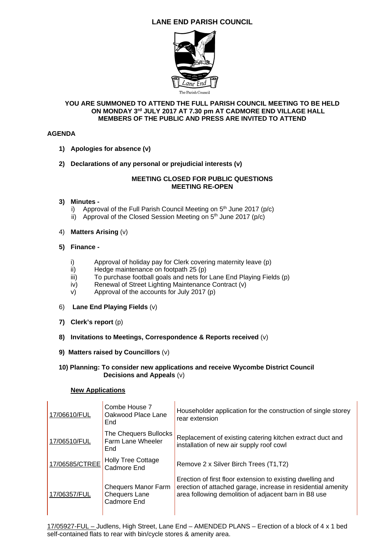# **LANE END PARISH COUNCIL**



#### **YOU ARE SUMMONED TO ATTEND THE FULL PARISH COUNCIL MEETING TO BE HELD ON MONDAY 3rd JULY 2017 AT 7.30 pm AT CADMORE END VILLAGE HALL MEMBERS OF THE PUBLIC AND PRESS ARE INVITED TO ATTEND**

#### **AGENDA**

- **1) Apologies for absence (v)**
- **2) Declarations of any personal or prejudicial interests (v)**

#### **MEETING CLOSED FOR PUBLIC QUESTIONS MEETING RE-OPEN**

#### **3) Minutes -**

- i) Approval of the Full Parish Council Meeting on  $5<sup>th</sup>$  June 2017 (p/c)
- ii) Approval of the Closed Session Meeting on  $5<sup>th</sup>$  June 2017 (p/c)

### 4) **Matters Arising** (v)

### **5) Finance -**

- i) Approval of holiday pay for Clerk covering maternity leave (p)
- ii) Hedge maintenance on footpath 25 (p)
- iii) To purchase football goals and nets for Lane End Playing Fields (p)
- iv) Renewal of Street Lighting Maintenance Contract (v)
- v) Approval of the accounts for July 2017 (p)
- 6) **Lane End Playing Fields** (v)
- **7) Clerk's report** (p)
- **8) Invitations to Meetings, Correspondence & Reports received** (v)
- **9) Matters raised by Councillors** (v)
- **10) Planning: To consider new applications and receive Wycombe District Council Decisions and Appeals** (v)

#### **New Applications**

| 17/06610/FUL   | Combe House 7<br>Oakwood Place Lane<br>End                        | Householder application for the construction of single storey<br>rear extension                                                                                                    |
|----------------|-------------------------------------------------------------------|------------------------------------------------------------------------------------------------------------------------------------------------------------------------------------|
| 17/06510/FUL   | The Chequers Bullocks<br>Farm Lane Wheeler<br>End                 | Replacement of existing catering kitchen extract duct and<br>installation of new air supply roof cowl                                                                              |
| 17/06585/CTREE | <b>Holly Tree Cottage</b><br>Cadmore End                          | Remove 2 x Silver Birch Trees (T1,T2)                                                                                                                                              |
| 17/06357/FUL   | <b>Chequers Manor Farm</b><br><b>Chequers Lane</b><br>Cadmore End | Erection of first floor extension to existing dwelling and<br>erection of attached garage, increase in residential amenity<br>area following demolition of adjacent barn in B8 use |

17/05927-FUL – Judlens, High Street, Lane End – AMENDED PLANS – Erection of a block of 4 x 1 bed self-contained flats to rear with bin/cycle stores & amenity area.